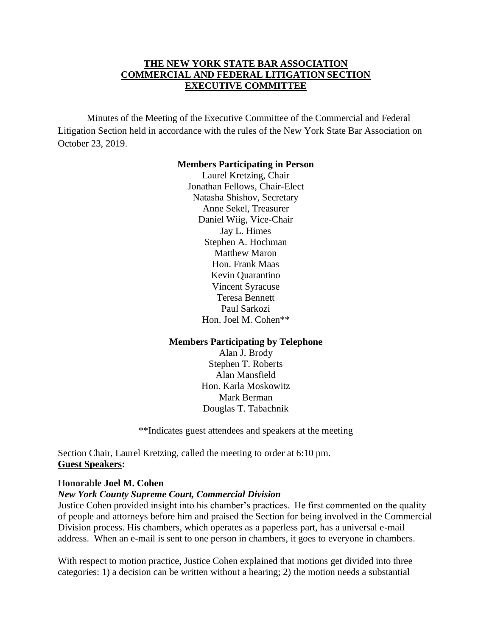### **THE NEW YORK STATE BAR ASSOCIATION COMMERCIAL AND FEDERAL LITIGATION SECTION EXECUTIVE COMMITTEE**

Minutes of the Meeting of the Executive Committee of the Commercial and Federal Litigation Section held in accordance with the rules of the New York State Bar Association on October 23, 2019.

#### **Members Participating in Person**

Laurel Kretzing, Chair Jonathan Fellows, Chair-Elect Natasha Shishov, Secretary Anne Sekel, Treasurer Daniel Wiig, Vice-Chair Jay L. Himes Stephen A. Hochman Matthew Maron Hon. Frank Maas Kevin Quarantino Vincent Syracuse Teresa Bennett Paul Sarkozi Hon. Joel M. Cohen\*\*

### **Members Participating by Telephone**

Alan J. Brody Stephen T. Roberts Alan Mansfield Hon. Karla Moskowitz Mark Berman Douglas T. Tabachnik

\*\*Indicates guest attendees and speakers at the meeting

Section Chair, Laurel Kretzing, called the meeting to order at 6:10 pm. **Guest Speakers:** 

### **Honorable Joel M. Cohen**

### *New York County Supreme Court, Commercial Division*

Justice Cohen provided insight into his chamber's practices. He first commented on the quality of people and attorneys before him and praised the Section for being involved in the Commercial Division process. His chambers, which operates as a paperless part, has a universal e-mail address. When an e-mail is sent to one person in chambers, it goes to everyone in chambers.

With respect to motion practice, Justice Cohen explained that motions get divided into three categories: 1) a decision can be written without a hearing; 2) the motion needs a substantial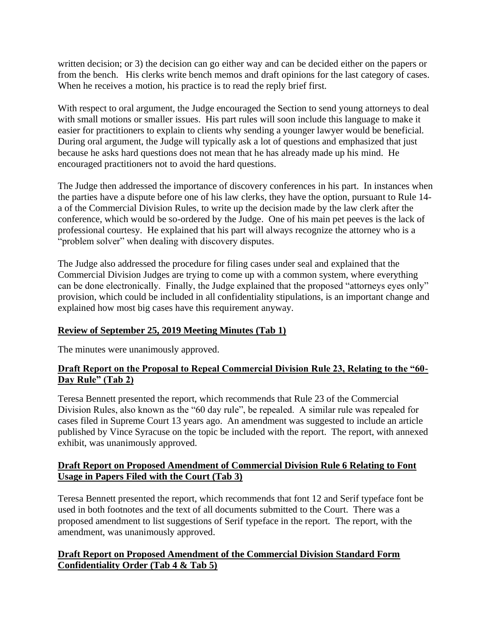written decision; or 3) the decision can go either way and can be decided either on the papers or from the bench. His clerks write bench memos and draft opinions for the last category of cases. When he receives a motion, his practice is to read the reply brief first.

With respect to oral argument, the Judge encouraged the Section to send young attorneys to deal with small motions or smaller issues. His part rules will soon include this language to make it easier for practitioners to explain to clients why sending a younger lawyer would be beneficial. During oral argument, the Judge will typically ask a lot of questions and emphasized that just because he asks hard questions does not mean that he has already made up his mind. He encouraged practitioners not to avoid the hard questions.

The Judge then addressed the importance of discovery conferences in his part. In instances when the parties have a dispute before one of his law clerks, they have the option, pursuant to Rule 14 a of the Commercial Division Rules, to write up the decision made by the law clerk after the conference, which would be so-ordered by the Judge. One of his main pet peeves is the lack of professional courtesy. He explained that his part will always recognize the attorney who is a "problem solver" when dealing with discovery disputes.

The Judge also addressed the procedure for filing cases under seal and explained that the Commercial Division Judges are trying to come up with a common system, where everything can be done electronically. Finally, the Judge explained that the proposed "attorneys eyes only" provision, which could be included in all confidentiality stipulations, is an important change and explained how most big cases have this requirement anyway.

## **Review of September 25, 2019 Meeting Minutes (Tab 1)**

The minutes were unanimously approved.

# **Draft Report on the Proposal to Repeal Commercial Division Rule 23, Relating to the "60- Day Rule" (Tab 2)**

Teresa Bennett presented the report, which recommends that Rule 23 of the Commercial Division Rules, also known as the "60 day rule", be repealed. A similar rule was repealed for cases filed in Supreme Court 13 years ago. An amendment was suggested to include an article published by Vince Syracuse on the topic be included with the report. The report, with annexed exhibit, was unanimously approved.

## **Draft Report on Proposed Amendment of Commercial Division Rule 6 Relating to Font Usage in Papers Filed with the Court (Tab 3)**

Teresa Bennett presented the report, which recommends that font 12 and Serif typeface font be used in both footnotes and the text of all documents submitted to the Court. There was a proposed amendment to list suggestions of Serif typeface in the report. The report, with the amendment, was unanimously approved.

## **Draft Report on Proposed Amendment of the Commercial Division Standard Form Confidentiality Order (Tab 4 & Tab 5)**